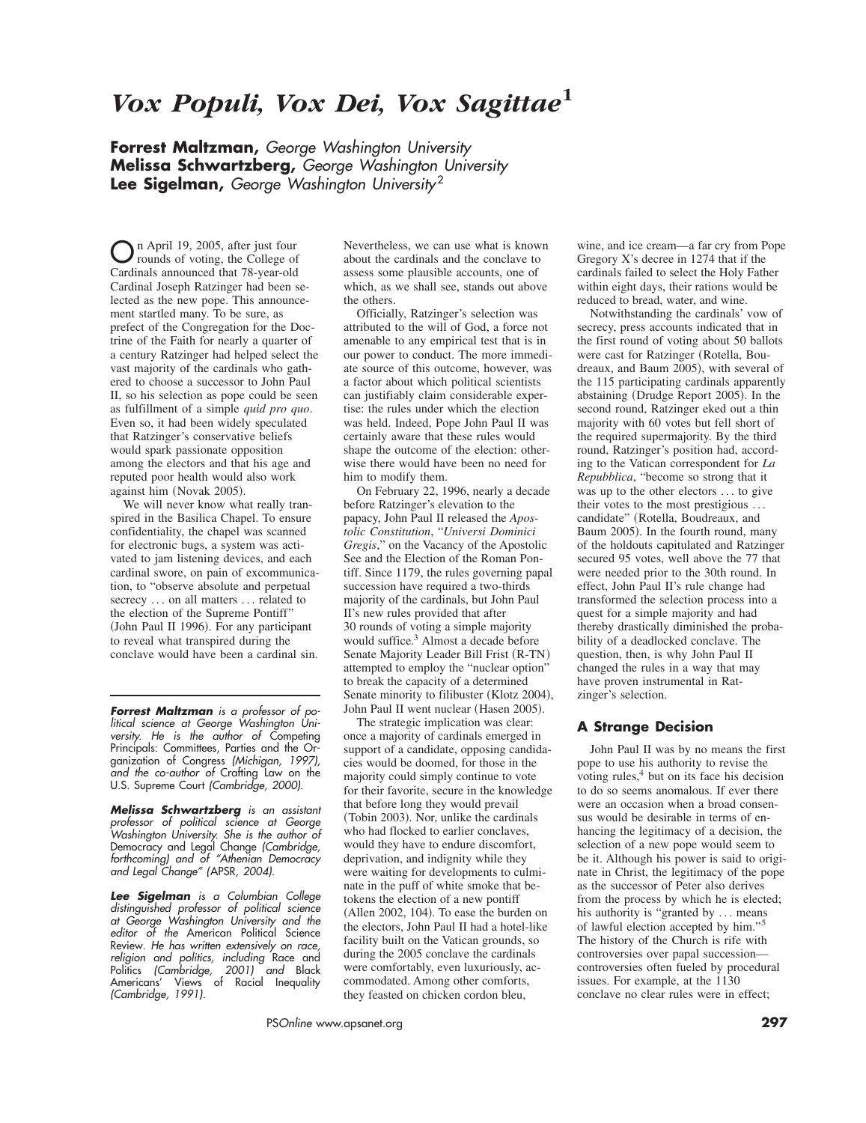# *Vox Populi, Vox Dei, Vox Sagittae***<sup>1</sup>**

**Forrest Maltzman,** *George Washington University* **Melissa Schwartzberg,** *George Washington University* **Lee Sigelman,** *George Washington University* <sup>2</sup>

On April 19, 2005, after just four rounds of voting, the College of Cardinals announced that 78-year-old Cardinal Joseph Ratzinger had been selected as the new pope. This announcement startled many. To be sure, as prefect of the Congregation for the Doctrine of the Faith for nearly a quarter of a century Ratzinger had helped select the vast majority of the cardinals who gathered to choose a successor to John Paul II, so his selection as pope could be seen as fulfillment of a simple *quid pro quo*. Even so, it had been widely speculated that Ratzinger's conservative beliefs would spark passionate opposition among the electors and that his age and reputed poor health would also work against him (Novak 2005).

We will never know what really transpired in the Basilica Chapel. To ensure confidentiality, the chapel was scanned for electronic bugs, a system was activated to jam listening devices, and each cardinal swore, on pain of excommunication, to "observe absolute and perpetual secrecy ... on all matters ... related to the election of the Supreme Pontiff" (John Paul II 1996). For any participant to reveal what transpired during the conclave would have been a cardinal sin.

*Forrest Maltzman is a professor of political science at George Washington University. He is the author of* Competing Principals: Committees, Parties and the Organization of Congress *(Michigan, 1997), and the co-author of* Crafting Law on the U.S. Supreme Court *(Cambridge, 2000).*

*Melissa Schwartzberg is an assistant professor of political science at George Washington University. She is the author of* Democracy and Legal Change *(Cambridge, forthcoming) and of "Athenian Democracy and Legal Change" (*APSR*, 2004).*

*Lee Sigelman is a Columbian College distinguished professor of political science at George Washington University and the editor of the* American Political Science Review*. He has written extensively on race, religion and politics, including* Race and Politics *(Cambridge, 2001) and* Black Americans' Views of Racial Inequality *(Cambridge, 1991).*

Nevertheless, we can use what is known about the cardinals and the conclave to assess some plausible accounts, one of which, as we shall see, stands out above the others.

Officially, Ratzinger's selection was attributed to the will of God, a force not amenable to any empirical test that is in our power to conduct. The more immediate source of this outcome, however, was a factor about which political scientists can justifiably claim considerable expertise: the rules under which the election was held. Indeed, Pope John Paul II was certainly aware that these rules would shape the outcome of the election: otherwise there would have been no need for him to modify them.

On February 22, 1996, nearly a decade before Ratzinger's elevation to the papacy, John Paul II released the *Apostolic Constitution*, "*Universi Dominici Gregis*," on the Vacancy of the Apostolic See and the Election of the Roman Pontiff. Since 1179, the rules governing papal succession have required a two-thirds majority of the cardinals, but John Paul II's new rules provided that after 30 rounds of voting a simple majority would suffice.<sup>3</sup> Almost a decade before Senate Majority Leader Bill Frist (R-TN) attempted to employ the "nuclear option" to break the capacity of a determined Senate minority to filibuster (Klotz 2004), John Paul II went nuclear (Hasen 2005).

The strategic implication was clear: once a majority of cardinals emerged in support of a candidate, opposing candidacies would be doomed, for those in the majority could simply continue to vote for their favorite, secure in the knowledge that before long they would prevail (Tobin 2003). Nor, unlike the cardinals who had flocked to earlier conclaves, would they have to endure discomfort, deprivation, and indignity while they were waiting for developments to culminate in the puff of white smoke that betokens the election of a new pontiff  $(A$ llen 2002, 104). To ease the burden on the electors, John Paul II had a hotel-like facility built on the Vatican grounds, so during the 2005 conclave the cardinals were comfortably, even luxuriously, accommodated. Among other comforts, they feasted on chicken cordon bleu,

wine, and ice cream—a far cry from Pope Gregory X's decree in 1274 that if the cardinals failed to select the Holy Father within eight days, their rations would be reduced to bread, water, and wine.

Notwithstanding the cardinals' vow of secrecy, press accounts indicated that in the first round of voting about 50 ballots were cast for Ratzinger (Rotella, Boudreaux, and Baum 2005), with several of the 115 participating cardinals apparently abstaining (Drudge Report 2005). In the second round, Ratzinger eked out a thin majority with 60 votes but fell short of the required supermajority. By the third round, Ratzinger's position had, according to the Vatican correspondent for *La Repubblica*, "become so strong that it was up to the other electors ... to give their votes to the most prestigious . . . candidate" (Rotella, Boudreaux, and Baum 2005). In the fourth round, many of the holdouts capitulated and Ratzinger secured 95 votes, well above the 77 that were needed prior to the 30th round. In effect, John Paul II's rule change had transformed the selection process into a quest for a simple majority and had thereby drastically diminished the probability of a deadlocked conclave. The question, then, is why John Paul II changed the rules in a way that may have proven instrumental in Ratzinger's selection.

### **A Strange Decision**

John Paul II was by no means the first pope to use his authority to revise the voting rules, $4$  but on its face his decision to do so seems anomalous. If ever there were an occasion when a broad consensus would be desirable in terms of enhancing the legitimacy of a decision, the selection of a new pope would seem to be it. Although his power is said to originate in Christ, the legitimacy of the pope as the successor of Peter also derives from the process by which he is elected; his authority is "granted by ... means of lawful election accepted by him."<sup>5</sup> The history of the Church is rife with controversies over papal succession controversies often fueled by procedural issues. For example, at the 1130 conclave no clear rules were in effect;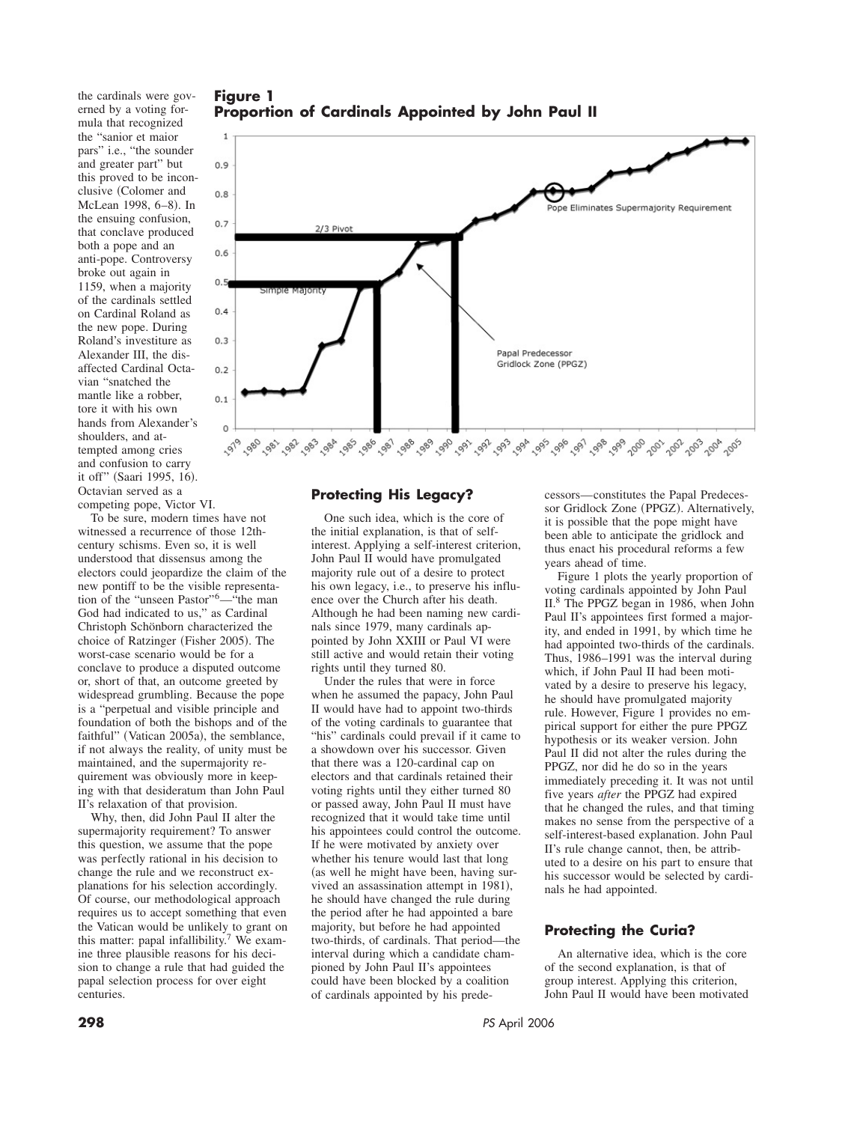**Figure 1 Proportion of Cardinals Appointed by John Paul II**

the cardinals were governed by a voting formula that recognized the "sanior et maior pars" i.e., "the sounder and greater part" but this proved to be inconclusive (Colomer and McLean 1998, 6-8). In the ensuing confusion, that conclave produced both a pope and an anti-pope. Controversy broke out again in 1159, when a majority of the cardinals settled on Cardinal Roland as the new pope. During Roland's investiture as Alexander III, the disaffected Cardinal Octavian "snatched the mantle like a robber, tore it with his own hands from Alexander's shoulders, and attempted among cries and confusion to carry it off" (Saari 1995, 16). Octavian served as a competing pope, Victor VI.

To be sure, modern times have not witnessed a recurrence of those 12thcentury schisms. Even so, it is well understood that dissensus among the electors could jeopardize the claim of the new pontiff to be the visible representation of the "unseen Pastor"6—"the man God had indicated to us," as Cardinal Christoph Schönborn characterized the choice of Ratzinger (Fisher 2005). The worst-case scenario would be for a conclave to produce a disputed outcome or, short of that, an outcome greeted by widespread grumbling. Because the pope is a "perpetual and visible principle and foundation of both the bishops and of the faithful" (Vatican 2005a), the semblance, if not always the reality, of unity must be maintained, and the supermajority requirement was obviously more in keeping with that desideratum than John Paul II's relaxation of that provision.

Why, then, did John Paul II alter the supermajority requirement? To answer this question, we assume that the pope was perfectly rational in his decision to change the rule and we reconstruct explanations for his selection accordingly. Of course, our methodological approach requires us to accept something that even the Vatican would be unlikely to grant on this matter: papal infallibility.7 We examine three plausible reasons for his decision to change a rule that had guided the papal selection process for over eight centuries.



## **Protecting His Legacy?**

One such idea, which is the core of the initial explanation, is that of selfinterest. Applying a self-interest criterion, John Paul II would have promulgated majority rule out of a desire to protect his own legacy, i.e., to preserve his influence over the Church after his death. Although he had been naming new cardinals since 1979, many cardinals appointed by John XXIII or Paul VI were still active and would retain their voting rights until they turned 80.

Under the rules that were in force when he assumed the papacy, John Paul II would have had to appoint two-thirds of the voting cardinals to guarantee that "his" cardinals could prevail if it came to a showdown over his successor. Given that there was a 120-cardinal cap on electors and that cardinals retained their voting rights until they either turned 80 or passed away, John Paul II must have recognized that it would take time until his appointees could control the outcome. If he were motivated by anxiety over whether his tenure would last that long (as well he might have been, having survived an assassination attempt in 1981), he should have changed the rule during the period after he had appointed a bare majority, but before he had appointed two-thirds, of cardinals. That period—the interval during which a candidate championed by John Paul II's appointees could have been blocked by a coalition of cardinals appointed by his predecessors—constitutes the Papal Predecessor Gridlock Zone (PPGZ). Alternatively, it is possible that the pope might have been able to anticipate the gridlock and thus enact his procedural reforms a few years ahead of time.

Figure 1 plots the yearly proportion of voting cardinals appointed by John Paul II.8 The PPGZ began in 1986, when John Paul II's appointees first formed a majority, and ended in 1991, by which time he had appointed two-thirds of the cardinals. Thus, 1986–1991 was the interval during which, if John Paul II had been motivated by a desire to preserve his legacy, he should have promulgated majority rule. However, Figure 1 provides no empirical support for either the pure PPGZ hypothesis or its weaker version. John Paul II did not alter the rules during the PPGZ, nor did he do so in the years immediately preceding it. It was not until five years *after* the PPGZ had expired that he changed the rules, and that timing makes no sense from the perspective of a self-interest-based explanation. John Paul II's rule change cannot, then, be attributed to a desire on his part to ensure that his successor would be selected by cardinals he had appointed.

# **Protecting the Curia?**

An alternative idea, which is the core of the second explanation, is that of group interest. Applying this criterion, John Paul II would have been motivated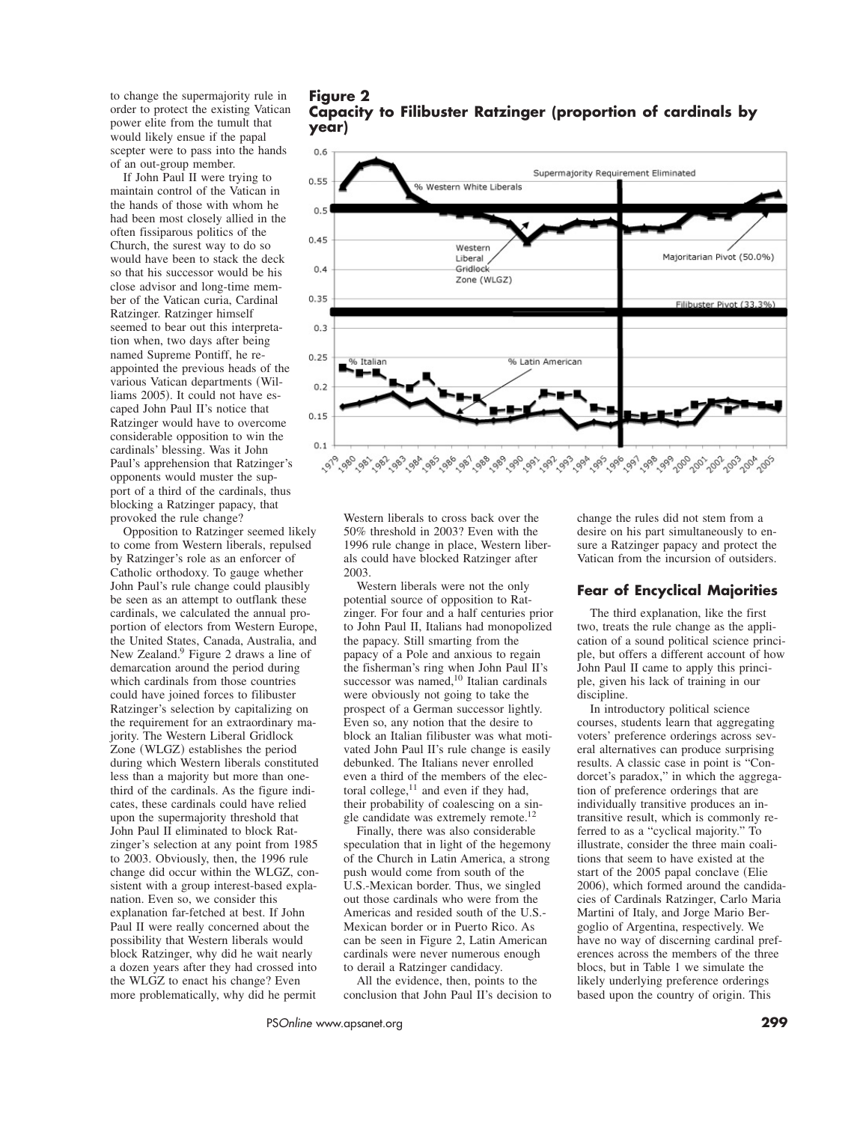to change the supermajority rule in order to protect the existing Vatican power elite from the tumult that would likely ensue if the papal scepter were to pass into the hands of an out-group member.

If John Paul II were trying to maintain control of the Vatican in the hands of those with whom he had been most closely allied in the often fissiparous politics of the Church, the surest way to do so would have been to stack the deck so that his successor would be his close advisor and long-time member of the Vatican curia, Cardinal Ratzinger. Ratzinger himself seemed to bear out this interpretation when, two days after being named Supreme Pontiff, he reappointed the previous heads of the various Vatican departments (Williams 2005). It could not have escaped John Paul II's notice that Ratzinger would have to overcome considerable opposition to win the cardinals' blessing. Was it John Paul's apprehension that Ratzinger's opponents would muster the support of a third of the cardinals, thus blocking a Ratzinger papacy, that provoked the rule change?

Opposition to Ratzinger seemed likely to come from Western liberals, repulsed by Ratzinger's role as an enforcer of Catholic orthodoxy. To gauge whether John Paul's rule change could plausibly be seen as an attempt to outflank these cardinals, we calculated the annual proportion of electors from Western Europe, the United States, Canada, Australia, and New Zealand.<sup>9</sup> Figure 2 draws a line of demarcation around the period during which cardinals from those countries could have joined forces to filibuster Ratzinger's selection by capitalizing on the requirement for an extraordinary majority. The Western Liberal Gridlock Zone (WLGZ) establishes the period during which Western liberals constituted less than a majority but more than onethird of the cardinals. As the figure indicates, these cardinals could have relied upon the supermajority threshold that John Paul II eliminated to block Ratzinger's selection at any point from 1985 to 2003. Obviously, then, the 1996 rule change did occur within the WLGZ, consistent with a group interest-based explanation. Even so, we consider this explanation far-fetched at best. If John Paul II were really concerned about the possibility that Western liberals would block Ratzinger, why did he wait nearly a dozen years after they had crossed into the WLGZ to enact his change? Even more problematically, why did he permit

**Figure 2 Capacity to Filibuster Ratzinger (proportion of cardinals by year)**



Western liberals to cross back over the 50% threshold in 2003? Even with the 1996 rule change in place, Western liberals could have blocked Ratzinger after 2003.

Western liberals were not the only potential source of opposition to Ratzinger. For four and a half centuries prior to John Paul II, Italians had monopolized the papacy. Still smarting from the papacy of a Pole and anxious to regain the fisherman's ring when John Paul II's successor was named, $10$  Italian cardinals were obviously not going to take the prospect of a German successor lightly. Even so, any notion that the desire to block an Italian filibuster was what motivated John Paul II's rule change is easily debunked. The Italians never enrolled even a third of the members of the electoral college, $11$  and even if they had, their probability of coalescing on a single candidate was extremely remote.<sup>12</sup>

Finally, there was also considerable speculation that in light of the hegemony of the Church in Latin America, a strong push would come from south of the U.S.-Mexican border. Thus, we singled out those cardinals who were from the Americas and resided south of the U.S.- Mexican border or in Puerto Rico. As can be seen in Figure 2, Latin American cardinals were never numerous enough to derail a Ratzinger candidacy.

All the evidence, then, points to the conclusion that John Paul II's decision to change the rules did not stem from a desire on his part simultaneously to ensure a Ratzinger papacy and protect the Vatican from the incursion of outsiders.

### **Fear of Encyclical Majorities**

The third explanation, like the first two, treats the rule change as the application of a sound political science principle, but offers a different account of how John Paul II came to apply this principle, given his lack of training in our discipline.

In introductory political science courses, students learn that aggregating voters' preference orderings across several alternatives can produce surprising results. A classic case in point is "Condorcet's paradox," in which the aggregation of preference orderings that are individually transitive produces an intransitive result, which is commonly referred to as a "cyclical majority." To illustrate, consider the three main coalitions that seem to have existed at the start of the 2005 papal conclave (Elie 2006), which formed around the candidacies of Cardinals Ratzinger, Carlo Maria Martini of Italy, and Jorge Mario Bergoglio of Argentina, respectively. We have no way of discerning cardinal preferences across the members of the three blocs, but in Table 1 we simulate the likely underlying preference orderings based upon the country of origin. This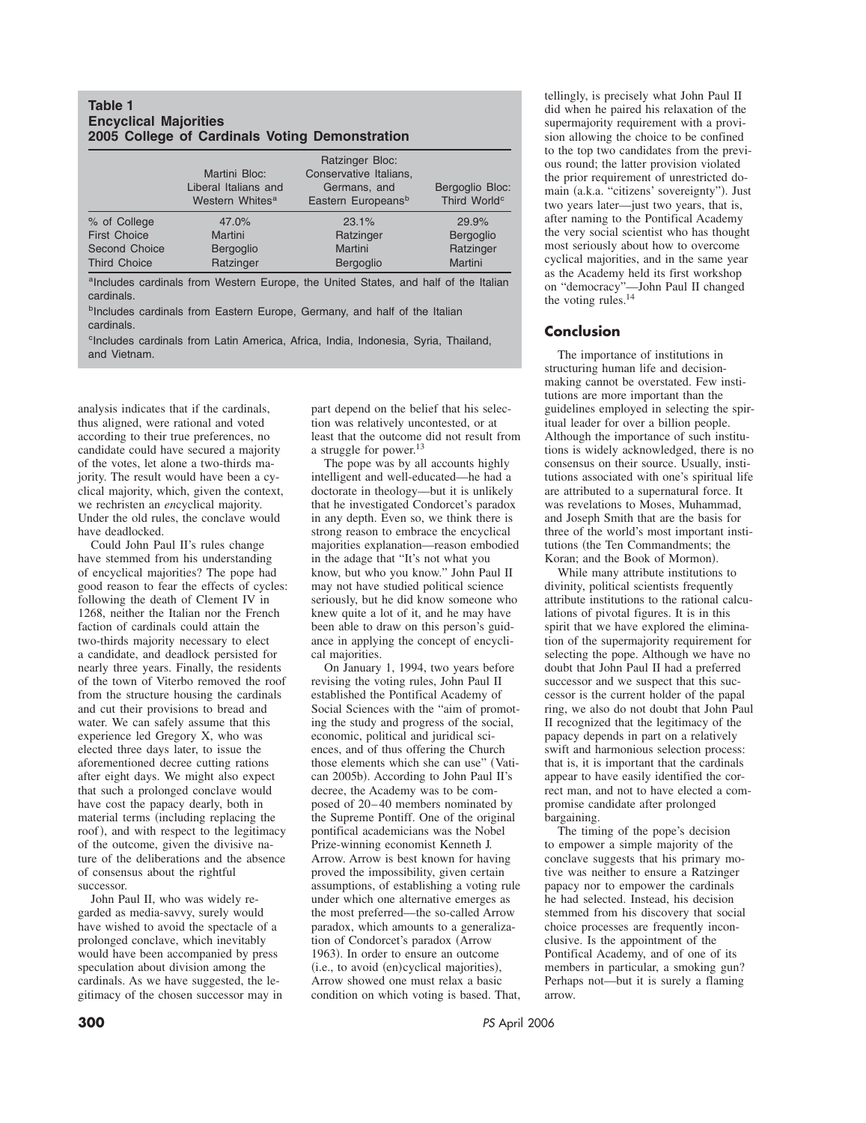#### **Table 1 Encyclical Majorities 2005 College of Cardinals Voting Demonstration**

|                     | Martini Bloc:<br>Liberal Italians and<br>Western Whites <sup>a</sup> | <b>Ratzinger Bloc:</b><br>Conservative Italians,<br>Germans, and<br>Eastern Europeans <sup>b</sup> | Bergoglio Bloc:<br>Third World <sup>c</sup> |
|---------------------|----------------------------------------------------------------------|----------------------------------------------------------------------------------------------------|---------------------------------------------|
| % of College        | 47.0%                                                                | 23.1%                                                                                              | 29.9%                                       |
| <b>First Choice</b> | Martini                                                              | Ratzinger                                                                                          | Bergoglio                                   |
| Second Choice       | Bergoglio                                                            | Martini                                                                                            | Ratzinger                                   |
| <b>Third Choice</b> | Ratzinger                                                            | Bergoglio                                                                                          | Martini                                     |

aIncludes cardinals from Western Europe, the United States, and half of the Italian cardinals.

**bIncludes cardinals from Eastern Europe, Germany, and half of the Italian** cardinals.

<sup>c</sup>Includes cardinals from Latin America, Africa, India, Indonesia, Syria, Thailand, and Vietnam.

analysis indicates that if the cardinals, thus aligned, were rational and voted according to their true preferences, no candidate could have secured a majority of the votes, let alone a two-thirds majority. The result would have been a cyclical majority, which, given the context, we rechristen an *en*cyclical majority. Under the old rules, the conclave would have deadlocked.

Could John Paul II's rules change have stemmed from his understanding of encyclical majorities? The pope had good reason to fear the effects of cycles: following the death of Clement IV in 1268, neither the Italian nor the French faction of cardinals could attain the two-thirds majority necessary to elect a candidate, and deadlock persisted for nearly three years. Finally, the residents of the town of Viterbo removed the roof from the structure housing the cardinals and cut their provisions to bread and water. We can safely assume that this experience led Gregory X, who was elected three days later, to issue the aforementioned decree cutting rations after eight days. We might also expect that such a prolonged conclave would have cost the papacy dearly, both in material terms (including replacing the roof), and with respect to the legitimacy of the outcome, given the divisive nature of the deliberations and the absence of consensus about the rightful successor.

John Paul II, who was widely regarded as media-savvy, surely would have wished to avoid the spectacle of a prolonged conclave, which inevitably would have been accompanied by press speculation about division among the cardinals. As we have suggested, the legitimacy of the chosen successor may in

part depend on the belief that his selection was relatively uncontested, or at least that the outcome did not result from a struggle for power.<sup>13</sup>

The pope was by all accounts highly intelligent and well-educated—he had a doctorate in theology—but it is unlikely that he investigated Condorcet's paradox in any depth. Even so, we think there is strong reason to embrace the encyclical majorities explanation—reason embodied in the adage that "It's not what you know, but who you know." John Paul II may not have studied political science seriously, but he did know someone who knew quite a lot of it, and he may have been able to draw on this person's guidance in applying the concept of encyclical majorities.

On January 1, 1994, two years before revising the voting rules, John Paul II established the Pontifical Academy of Social Sciences with the "aim of promoting the study and progress of the social, economic, political and juridical sciences, and of thus offering the Church those elements which she can use" (Vatican 2005b). According to John Paul II's decree, the Academy was to be composed of 20–40 members nominated by the Supreme Pontiff. One of the original pontifical academicians was the Nobel Prize-winning economist Kenneth J. Arrow. Arrow is best known for having proved the impossibility, given certain assumptions, of establishing a voting rule under which one alternative emerges as the most preferred—the so-called Arrow paradox, which amounts to a generalization of Condorcet's paradox (Arrow 1963). In order to ensure an outcome (i.e., to avoid (en)cyclical majorities), Arrow showed one must relax a basic condition on which voting is based. That, tellingly, is precisely what John Paul II did when he paired his relaxation of the supermajority requirement with a provision allowing the choice to be confined to the top two candidates from the previous round; the latter provision violated the prior requirement of unrestricted domain (a.k.a. "citizens' sovereignty"). Just two years later—just two years, that is, after naming to the Pontifical Academy the very social scientist who has thought most seriously about how to overcome cyclical majorities, and in the same year as the Academy held its first workshop on "democracy"—John Paul II changed the voting rules.<sup>14</sup>

### **Conclusion**

The importance of institutions in structuring human life and decisionmaking cannot be overstated. Few institutions are more important than the guidelines employed in selecting the spiritual leader for over a billion people. Although the importance of such institutions is widely acknowledged, there is no consensus on their source. Usually, institutions associated with one's spiritual life are attributed to a supernatural force. It was revelations to Moses, Muhammad, and Joseph Smith that are the basis for three of the world's most important institutions (the Ten Commandments; the Koran; and the Book of Mormon).

While many attribute institutions to divinity, political scientists frequently attribute institutions to the rational calculations of pivotal figures. It is in this spirit that we have explored the elimination of the supermajority requirement for selecting the pope. Although we have no doubt that John Paul II had a preferred successor and we suspect that this successor is the current holder of the papal ring, we also do not doubt that John Paul II recognized that the legitimacy of the papacy depends in part on a relatively swift and harmonious selection process: that is, it is important that the cardinals appear to have easily identified the correct man, and not to have elected a compromise candidate after prolonged bargaining.

The timing of the pope's decision to empower a simple majority of the conclave suggests that his primary motive was neither to ensure a Ratzinger papacy nor to empower the cardinals he had selected. Instead, his decision stemmed from his discovery that social choice processes are frequently inconclusive. Is the appointment of the Pontifical Academy, and of one of its members in particular, a smoking gun? Perhaps not—but it is surely a flaming arrow.